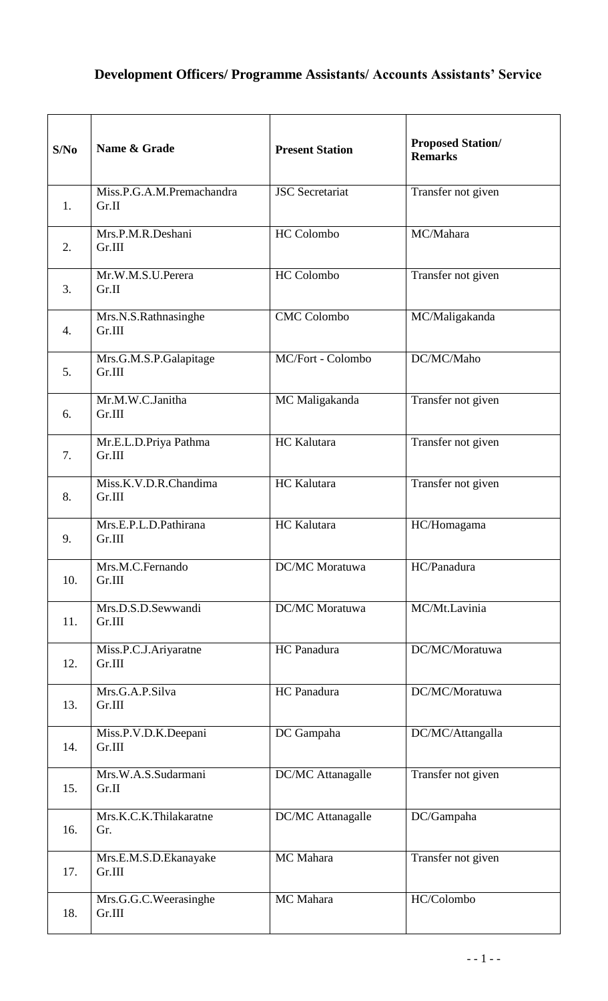## **Development Officers/ Programme Assistants/ Accounts Assistants' Service**

| S/No             | Name & Grade                       | <b>Present Station</b> | <b>Proposed Station/</b><br><b>Remarks</b> |
|------------------|------------------------------------|------------------------|--------------------------------------------|
| 1 <sub>1</sub>   | Miss.P.G.A.M.Premachandra<br>Gr.II | <b>JSC</b> Secretariat | Transfer not given                         |
| 2.               | Mrs.P.M.R.Deshani<br>Gr.III        | <b>HC</b> Colombo      | MC/Mahara                                  |
| 3.               | Mr.W.M.S.U.Perera<br>Gr.II         | <b>HC</b> Colombo      | Transfer not given                         |
| $\overline{4}$ . | Mrs.N.S.Rathnasinghe<br>Gr.III     | <b>CMC Colombo</b>     | MC/Maligakanda                             |
| 5.               | Mrs.G.M.S.P.Galapitage<br>Gr.III   | MC/Fort - Colombo      | DC/MC/Maho                                 |
| 6.               | Mr.M.W.C.Janitha<br>Gr.III         | MC Maligakanda         | Transfer not given                         |
| 7.               | Mr.E.L.D.Priya Pathma<br>Gr.III    | HC Kalutara            | Transfer not given                         |
| 8.               | Miss.K.V.D.R.Chandima<br>Gr.III    | HC Kalutara            | Transfer not given                         |
| 9.               | Mrs.E.P.L.D.Pathirana<br>Gr.III    | HC Kalutara            | HC/Homagama                                |
| 10.              | Mrs.M.C.Fernando<br>Gr.III         | <b>DC/MC</b> Moratuwa  | HC/Panadura                                |
| 11.              | Mrs.D.S.D.Sewwandi<br>Gr.III       | DC/MC Moratuwa         | MC/Mt.Lavinia                              |
| 12.              | Miss.P.C.J.Ariyaratne<br>Gr.III    | HC Panadura            | DC/MC/Moratuwa                             |
| 13.              | Mrs.G.A.P.Silva<br>Gr.III          | HC Panadura            | DC/MC/Moratuwa                             |
| 14.              | Miss.P.V.D.K.Deepani<br>Gr.III     | DC Gampaha             | DC/MC/Attangalla                           |
| 15.              | Mrs.W.A.S.Sudarmani<br>Gr.II       | DC/MC Attanagalle      | Transfer not given                         |
| 16.              | Mrs.K.C.K.Thilakaratne<br>Gr.      | DC/MC Attanagalle      | DC/Gampaha                                 |
| 17.              | Mrs.E.M.S.D.Ekanayake<br>Gr.III    | MC Mahara              | Transfer not given                         |
| 18.              | Mrs.G.G.C.Weerasinghe<br>Gr.III    | MC Mahara              | HC/Colombo                                 |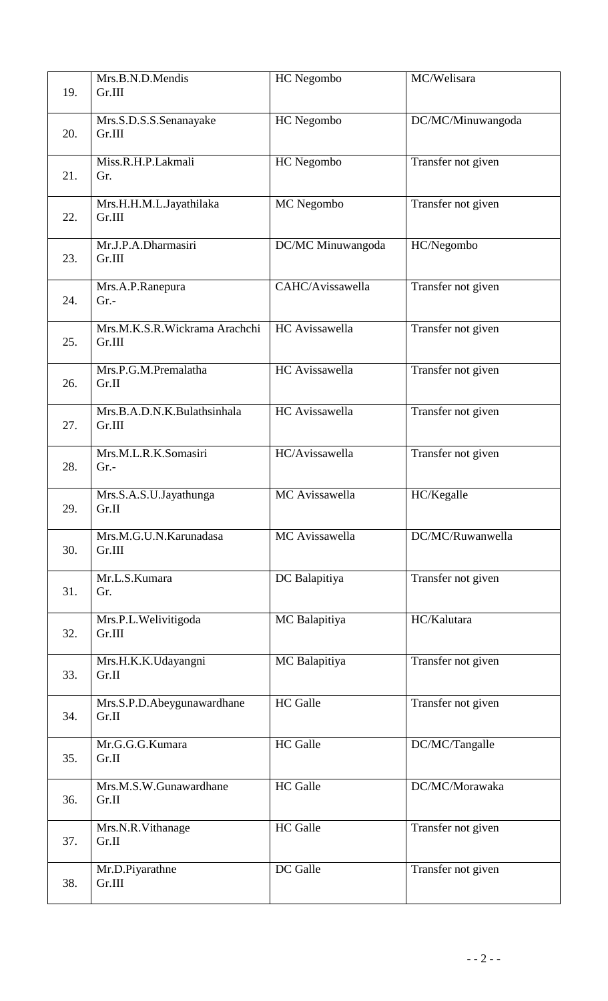| 19. | Mrs.B.N.D.Mendis<br>Gr.III              | HC Negombo        | MC/Welisara        |
|-----|-----------------------------------------|-------------------|--------------------|
| 20. | Mrs.S.D.S.S.Senanayake<br>Gr.III        | HC Negombo        | DC/MC/Minuwangoda  |
| 21. | Miss.R.H.P.Lakmali<br>Gr.               | HC Negombo        | Transfer not given |
| 22. | Mrs.H.H.M.L.Jayathilaka<br>Gr.III       | MC Negombo        | Transfer not given |
| 23. | Mr.J.P.A.Dharmasiri<br>Gr.III           | DC/MC Minuwangoda | HC/Negombo         |
| 24. | Mrs.A.P.Ranepura<br>$Gr.$ -             | CAHC/Avissawella  | Transfer not given |
| 25. | Mrs.M.K.S.R.Wickrama Arachchi<br>Gr.III | HC Avissawella    | Transfer not given |
| 26. | Mrs.P.G.M.Premalatha<br>Gr.II           | HC Avissawella    | Transfer not given |
| 27. | Mrs.B.A.D.N.K.Bulathsinhala<br>Gr.III   | HC Avissawella    | Transfer not given |
| 28. | Mrs.M.L.R.K.Somasiri<br>$Gr. -$         | HC/Avissawella    | Transfer not given |
| 29. | Mrs.S.A.S.U.Jayathunga<br>Gr.II         | MC Avissawella    | HC/Kegalle         |
| 30. | Mrs.M.G.U.N.Karunadasa<br>Gr.III        | MC Avissawella    | DC/MC/Ruwanwella   |
| 31. | Mr.L.S.Kumara<br>Gr.                    | DC Balapitiya     | Transfer not given |
| 32. | Mrs.P.L.Welivitigoda<br>Gr.III          | MC Balapitiya     | HC/Kalutara        |
| 33. | Mrs.H.K.K.Udayangni<br>Gr.II            | MC Balapitiya     | Transfer not given |
| 34. | Mrs.S.P.D.Abeygunawardhane<br>Gr.II     | <b>HC</b> Galle   | Transfer not given |
| 35. | Mr.G.G.G.Kumara<br>Gr.II                | <b>HC</b> Galle   | DC/MC/Tangalle     |
| 36. | Mrs.M.S.W.Gunawardhane<br>Gr.II         | <b>HC</b> Galle   | DC/MC/Morawaka     |
| 37. | Mrs.N.R.Vithanage<br>Gr.II              | <b>HC</b> Galle   | Transfer not given |
| 38. | Mr.D.Piyarathne<br>Gr.III               | DC Galle          | Transfer not given |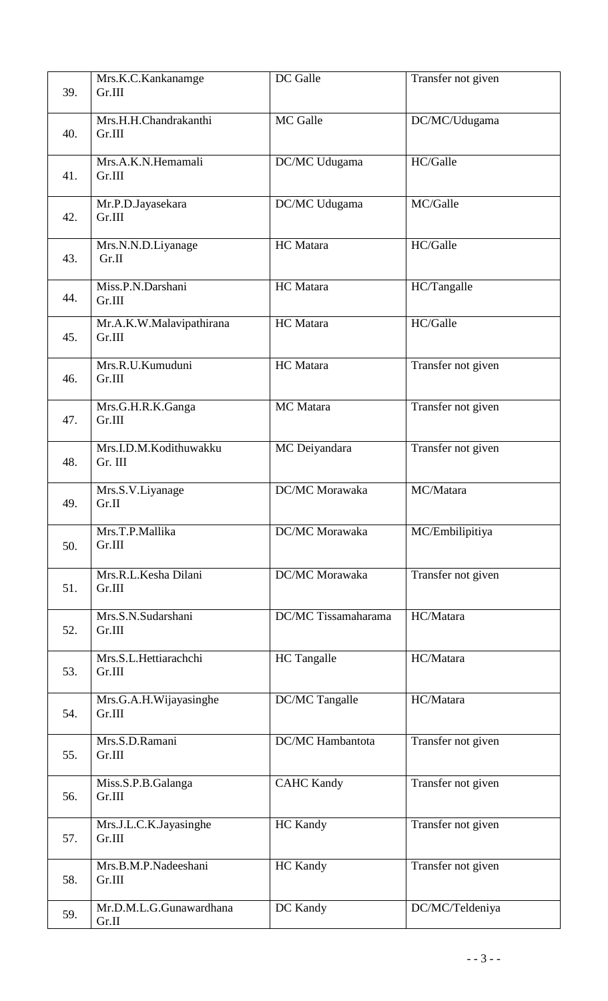|     | Mrs.K.C.Kankanamge                 | DC Galle            | Transfer not given |
|-----|------------------------------------|---------------------|--------------------|
| 39. | Gr.III                             |                     |                    |
| 40. | Mrs.H.H.Chandrakanthi<br>Gr.III    | MC Galle            | DC/MC/Udugama      |
| 41. | Mrs.A.K.N.Hemamali<br>Gr.III       | DC/MC Udugama       | HC/Galle           |
| 42. | Mr.P.D.Jayasekara<br>Gr.III        | DC/MC Udugama       | MC/Galle           |
| 43. | Mrs.N.N.D.Liyanage<br>Gr.II        | HC Matara           | HC/Galle           |
| 44. | Miss.P.N.Darshani<br>Gr.III        | <b>HC</b> Matara    | HC/Tangalle        |
| 45. | Mr.A.K.W.Malavipathirana<br>Gr.III | <b>HC</b> Matara    | HC/Galle           |
| 46. | Mrs.R.U.Kumuduni<br>Gr.III         | HC Matara           | Transfer not given |
| 47. | Mrs.G.H.R.K.Ganga<br>Gr.III        | MC Matara           | Transfer not given |
| 48. | Mrs.I.D.M.Kodithuwakku<br>Gr. III  | MC Deiyandara       | Transfer not given |
| 49. | Mrs.S.V.Liyanage<br>Gr.II          | DC/MC Morawaka      | MC/Matara          |
| 50. | Mrs.T.P.Mallika<br>Gr.III          | DC/MC Morawaka      | MC/Embilipitiya    |
| 51. | Mrs.R.L.Kesha Dilani<br>Gr.III     | DC/MC Morawaka      | Transfer not given |
| 52. | Mrs.S.N.Sudarshani<br>Gr.III       | DC/MC Tissamaharama | HC/Matara          |
| 53. | Mrs.S.L.Hettiarachchi<br>Gr.III    | HC Tangalle         | HC/Matara          |
| 54. | Mrs.G.A.H.Wijayasinghe<br>Gr.III   | DC/MC Tangalle      | HC/Matara          |
| 55. | Mrs.S.D.Ramani<br>Gr.III           | DC/MC Hambantota    | Transfer not given |
| 56. | Miss.S.P.B.Galanga<br>Gr.III       | <b>CAHC Kandy</b>   | Transfer not given |
| 57. | Mrs.J.L.C.K.Jayasinghe<br>Gr.III   | <b>HC</b> Kandy     | Transfer not given |
| 58. | Mrs.B.M.P.Nadeeshani<br>Gr.III     | <b>HC</b> Kandy     | Transfer not given |
| 59. | Mr.D.M.L.G.Gunawardhana<br>Gr.II   | DC Kandy            | DC/MC/Teldeniya    |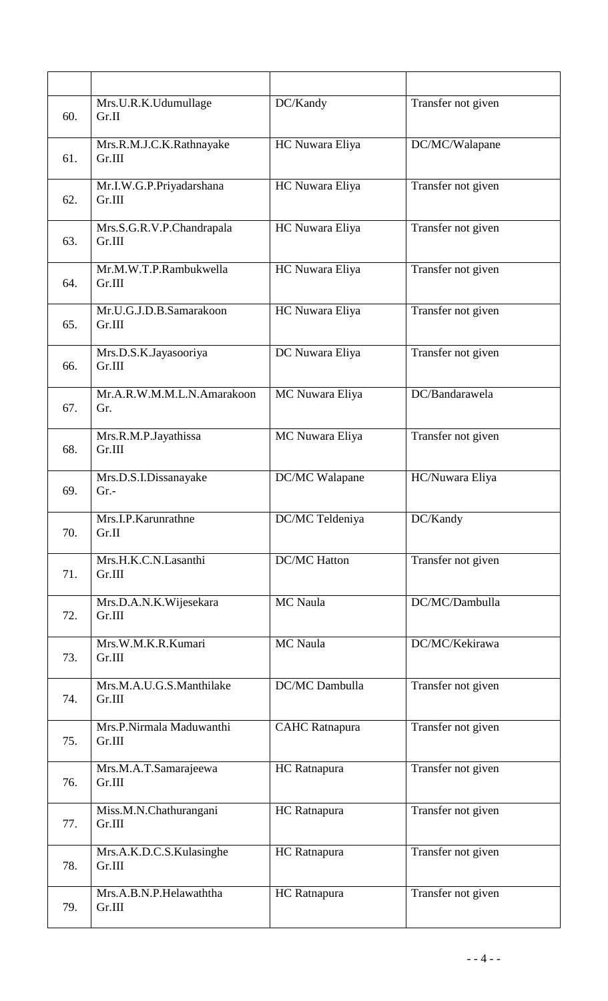| 60. | Mrs.U.R.K.Udumullage<br>Gr.II       | DC/Kandy              | Transfer not given |
|-----|-------------------------------------|-----------------------|--------------------|
| 61. | Mrs.R.M.J.C.K.Rathnayake<br>Gr.III  | HC Nuwara Eliya       | DC/MC/Walapane     |
| 62. | Mr.I.W.G.P.Priyadarshana<br>Gr.III  | HC Nuwara Eliya       | Transfer not given |
| 63. | Mrs.S.G.R.V.P.Chandrapala<br>Gr.III | HC Nuwara Eliya       | Transfer not given |
| 64. | Mr.M.W.T.P.Rambukwella<br>Gr.III    | HC Nuwara Eliya       | Transfer not given |
| 65. | Mr.U.G.J.D.B.Samarakoon<br>Gr.III   | HC Nuwara Eliya       | Transfer not given |
| 66. | Mrs.D.S.K.Jayasooriya<br>Gr.III     | DC Nuwara Eliya       | Transfer not given |
| 67. | Mr.A.R.W.M.M.L.N.Amarakoon<br>Gr.   | MC Nuwara Eliya       | DC/Bandarawela     |
| 68. | Mrs.R.M.P.Jayathissa<br>Gr.III      | MC Nuwara Eliya       | Transfer not given |
| 69. | Mrs.D.S.I.Dissanayake<br>Gr.        | DC/MC Walapane        | HC/Nuwara Eliya    |
| 70. | Mrs.I.P.Karunrathne<br>Gr.II        | DC/MC Teldeniya       | DC/Kandy           |
| 71. | Mrs.H.K.C.N.Lasanthi<br>Gr.III      | <b>DC/MC</b> Hatton   | Transfer not given |
| 72. | Mrs.D.A.N.K.Wijesekara<br>Gr.III    | MC Naula              | DC/MC/Dambulla     |
| 73. | Mrs.W.M.K.R.Kumari<br>Gr.III        | MC Naula              | DC/MC/Kekirawa     |
| 74. | Mrs.M.A.U.G.S.Manthilake<br>Gr.III  | DC/MC Dambulla        | Transfer not given |
| 75. | Mrs.P.Nirmala Maduwanthi<br>Gr.III  | <b>CAHC</b> Ratnapura | Transfer not given |
| 76. | Mrs.M.A.T.Samarajeewa<br>Gr.III     | HC Ratnapura          | Transfer not given |
| 77. | Miss.M.N.Chathurangani<br>Gr.III    | HC Ratnapura          | Transfer not given |
| 78. | Mrs.A.K.D.C.S.Kulasinghe<br>Gr.III  | HC Ratnapura          | Transfer not given |
| 79. | Mrs.A.B.N.P.Helawaththa<br>Gr.III   | HC Ratnapura          | Transfer not given |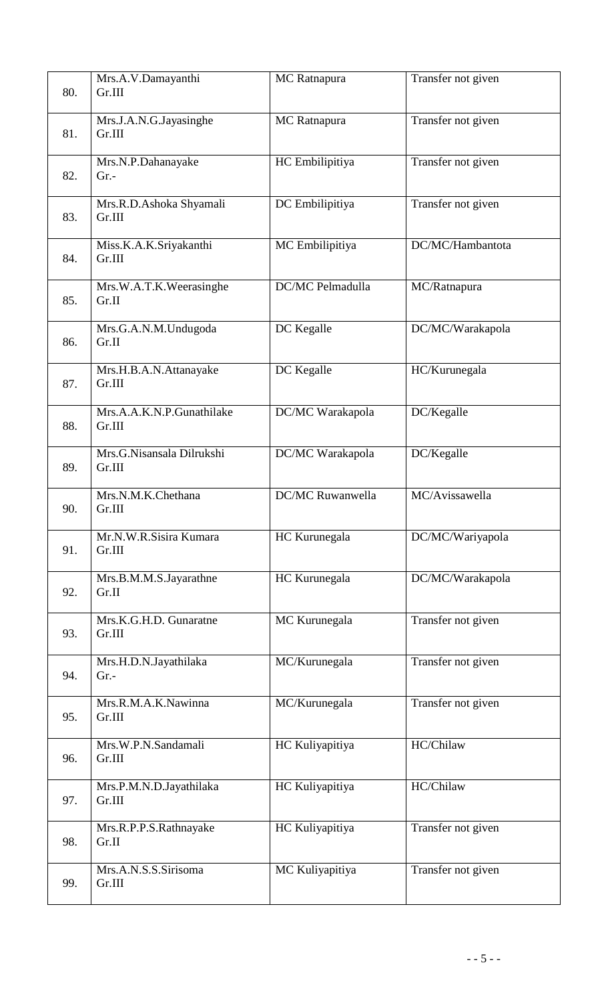| 80. | Mrs.A.V.Damayanthi<br>Gr.III        | MC Ratnapura            | Transfer not given |
|-----|-------------------------------------|-------------------------|--------------------|
| 81. | Mrs.J.A.N.G.Jayasinghe<br>Gr.III    | MC Ratnapura            | Transfer not given |
| 82. | Mrs.N.P.Dahanayake<br>$Gr. -$       | HC Embilipitiya         | Transfer not given |
| 83. | Mrs.R.D.Ashoka Shyamali<br>Gr.III   | DC Embilipitiya         | Transfer not given |
| 84. | Miss.K.A.K.Sriyakanthi<br>Gr.III    | MC Embilipitiya         | DC/MC/Hambantota   |
| 85. | Mrs.W.A.T.K.Weerasinghe<br>Gr.II    | DC/MC Pelmadulla        | MC/Ratnapura       |
| 86. | Mrs.G.A.N.M.Undugoda<br>Gr.II       | DC Kegalle              | DC/MC/Warakapola   |
| 87. | Mrs.H.B.A.N.Attanayake<br>Gr.III    | DC Kegalle              | HC/Kurunegala      |
| 88. | Mrs.A.A.K.N.P.Gunathilake<br>Gr.III | DC/MC Warakapola        | DC/Kegalle         |
| 89. | Mrs.G.Nisansala Dilrukshi<br>Gr.III | DC/MC Warakapola        | DC/Kegalle         |
| 90. | Mrs.N.M.K.Chethana<br>Gr.III        | <b>DC/MC Ruwanwella</b> | MC/Avissawella     |
| 91. | Mr.N.W.R.Sisira Kumara<br>Gr.III    | HC Kurunegala           | DC/MC/Wariyapola   |
| 92. | Mrs.B.M.M.S.Jayarathne<br>Gr.II     | HC Kurunegala           | DC/MC/Warakapola   |
| 93. | Mrs.K.G.H.D. Gunaratne<br>Gr.III    | MC Kurunegala           | Transfer not given |
| 94. | Mrs.H.D.N.Jayathilaka<br>$Gr.$ -    | MC/Kurunegala           | Transfer not given |
| 95. | Mrs.R.M.A.K.Nawinna<br>Gr.III       | MC/Kurunegala           | Transfer not given |
| 96. | Mrs.W.P.N.Sandamali<br>Gr.III       | HC Kuliyapitiya         | HC/Chilaw          |
| 97. | Mrs.P.M.N.D.Jayathilaka<br>Gr.III   | HC Kuliyapitiya         | HC/Chilaw          |
| 98. | Mrs.R.P.P.S.Rathnayake<br>Gr.II     | HC Kuliyapitiya         | Transfer not given |
| 99. | Mrs.A.N.S.S.Sirisoma<br>Gr.III      | MC Kuliyapitiya         | Transfer not given |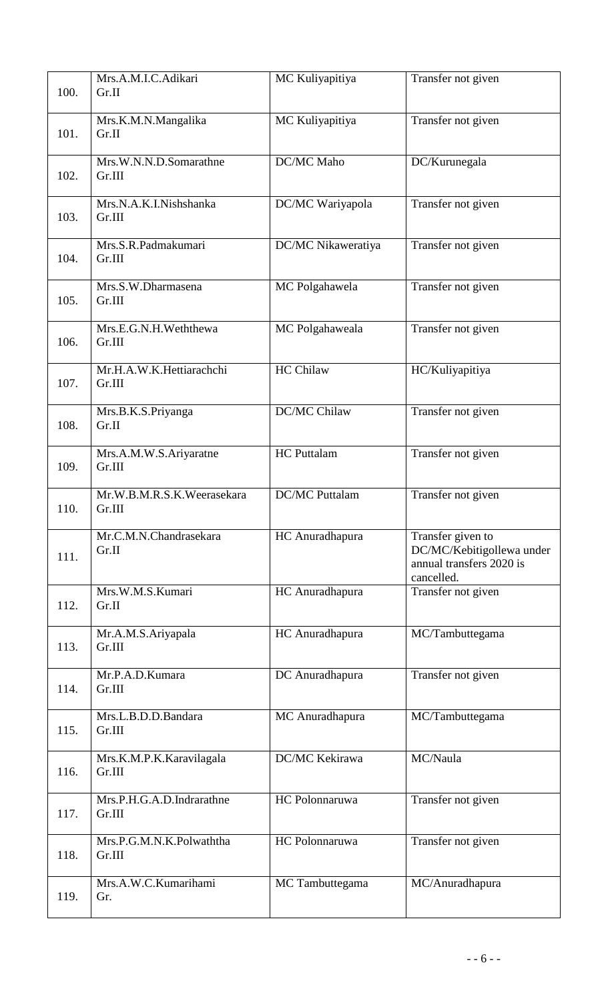| 100. | Mrs.A.M.I.C.Adikari<br>Gr.II         | MC Kuliyapitiya       | Transfer not given                                                                       |
|------|--------------------------------------|-----------------------|------------------------------------------------------------------------------------------|
| 101. | Mrs.K.M.N.Mangalika<br>Gr.II         | MC Kuliyapitiya       | Transfer not given                                                                       |
| 102. | Mrs.W.N.N.D.Somarathne<br>Gr.III     | DC/MC Maho            | DC/Kurunegala                                                                            |
| 103. | Mrs.N.A.K.I.Nishshanka<br>Gr.III     | DC/MC Wariyapola      | Transfer not given                                                                       |
| 104. | Mrs.S.R.Padmakumari<br>Gr.III        | DC/MC Nikaweratiya    | Transfer not given                                                                       |
| 105. | Mrs.S.W.Dharmasena<br>Gr.III         | MC Polgahawela        | Transfer not given                                                                       |
| 106. | Mrs.E.G.N.H.Weththewa<br>Gr.III      | MC Polgahaweala       | Transfer not given                                                                       |
| 107. | Mr.H.A.W.K.Hettiarachchi<br>Gr.III   | <b>HC Chilaw</b>      | HC/Kuliyapitiya                                                                          |
| 108. | Mrs.B.K.S.Priyanga<br>Gr.II          | DC/MC Chilaw          | Transfer not given                                                                       |
| 109. | Mrs.A.M.W.S.Ariyaratne<br>Gr.III     | <b>HC</b> Puttalam    | Transfer not given                                                                       |
| 110. | Mr.W.B.M.R.S.K.Weerasekara<br>Gr.III | <b>DC/MC</b> Puttalam | Transfer not given                                                                       |
| 111. | Mr.C.M.N.Chandrasekara<br>Gr.II      | HC Anuradhapura       | Transfer given to<br>DC/MC/Kebitigollewa under<br>annual transfers 2020 is<br>cancelled. |
| 112. | Mrs.W.M.S.Kumari<br>Gr.II            | HC Anuradhapura       | Transfer not given                                                                       |
| 113. | Mr.A.M.S.Ariyapala<br>Gr.III         | HC Anuradhapura       | MC/Tambuttegama                                                                          |
| 114. | Mr.P.A.D.Kumara<br>Gr.III            | DC Anuradhapura       | Transfer not given                                                                       |
| 115. | Mrs.L.B.D.D.Bandara<br>Gr.III        | MC Anuradhapura       | MC/Tambuttegama                                                                          |
| 116. | Mrs.K.M.P.K.Karavilagala<br>Gr.III   | DC/MC Kekirawa        | MC/Naula                                                                                 |
| 117. | Mrs.P.H.G.A.D.Indrarathne<br>Gr.III  | HC Polonnaruwa        | Transfer not given                                                                       |
| 118. | Mrs.P.G.M.N.K.Polwaththa<br>Gr.III   | HC Polonnaruwa        | Transfer not given                                                                       |
| 119. | Mrs.A.W.C.Kumarihami<br>Gr.          | MC Tambuttegama       | MC/Anuradhapura                                                                          |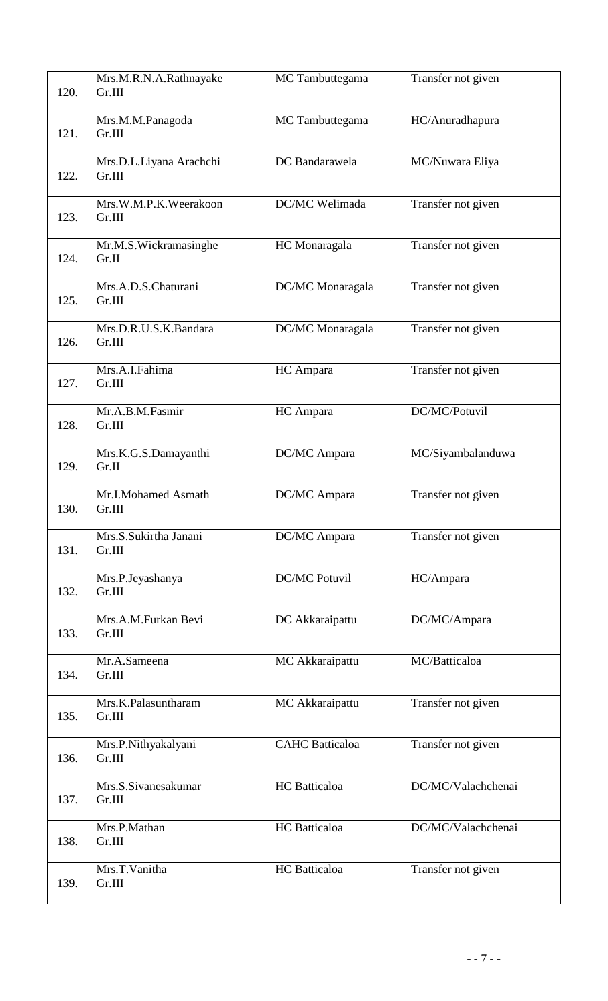| 120. | Mrs.M.R.N.A.Rathnayake<br>Gr.III  | MC Tambuttegama        | Transfer not given |
|------|-----------------------------------|------------------------|--------------------|
| 121. | Mrs.M.M.Panagoda<br>Gr.III        | MC Tambuttegama        | HC/Anuradhapura    |
| 122. | Mrs.D.L.Liyana Arachchi<br>Gr.III | DC Bandarawela         | MC/Nuwara Eliya    |
| 123. | Mrs.W.M.P.K.Weerakoon<br>Gr.III   | DC/MC Welimada         | Transfer not given |
| 124. | Mr.M.S.Wickramasinghe<br>Gr.II    | HC Monaragala          | Transfer not given |
| 125. | Mrs.A.D.S.Chaturani<br>Gr.III     | DC/MC Monaragala       | Transfer not given |
| 126. | Mrs.D.R.U.S.K.Bandara<br>Gr.III   | DC/MC Monaragala       | Transfer not given |
| 127. | Mrs.A.I.Fahima<br>Gr.III          | HC Ampara              | Transfer not given |
| 128. | Mr.A.B.M.Fasmir<br>Gr.III         | HC Ampara              | DC/MC/Potuvil      |
| 129. | Mrs.K.G.S.Damayanthi<br>Gr.II     | DC/MC Ampara           | MC/Siyambalanduwa  |
| 130. | Mr.I.Mohamed Asmath<br>Gr.III     | DC/MC Ampara           | Transfer not given |
| 131. | Mrs.S.Sukirtha Janani<br>Gr.III   | DC/MC Ampara           | Transfer not given |
| 132. | Mrs.P.Jeyashanya<br>Gr.III        | <b>DC/MC Potuvil</b>   | HC/Ampara          |
| 133. | Mrs.A.M.Furkan Bevi<br>Gr.III     | DC Akkaraipattu        | DC/MC/Ampara       |
| 134. | Mr.A.Sameena<br>Gr.III            | MC Akkaraipattu        | MC/Batticaloa      |
| 135. | Mrs.K.Palasuntharam<br>Gr.III     | MC Akkaraipattu        | Transfer not given |
| 136. | Mrs.P.Nithyakalyani<br>Gr.III     | <b>CAHC</b> Batticaloa | Transfer not given |
| 137. | Mrs.S.Sivanesakumar<br>Gr.III     | HC Batticaloa          | DC/MC/Valachchenai |
| 138. | Mrs.P.Mathan<br>Gr.III            | HC Batticaloa          | DC/MC/Valachchenai |
| 139. | Mrs.T.Vanitha<br>Gr.III           | HC Batticaloa          | Transfer not given |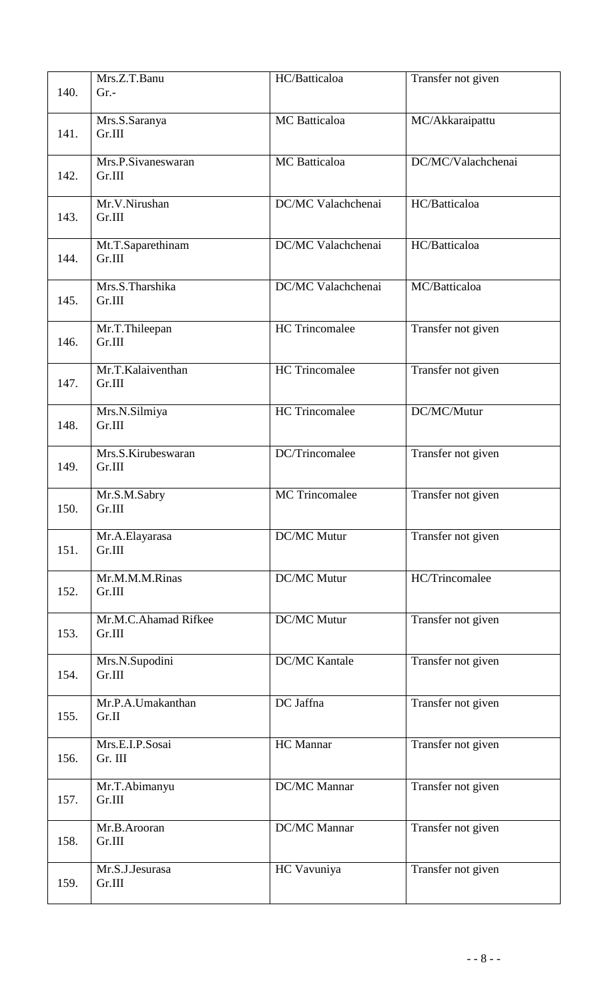| 140. | Mrs.Z.T.Banu<br>$Gr. -$        | HC/Batticaloa         | Transfer not given |
|------|--------------------------------|-----------------------|--------------------|
| 141. | Mrs.S.Saranya<br>Gr.III        | <b>MC</b> Batticaloa  | MC/Akkaraipattu    |
| 142. | Mrs.P.Sivaneswaran<br>Gr.III   | MC Batticaloa         | DC/MC/Valachchenai |
| 143. | Mr.V.Nirushan<br>Gr.III        | DC/MC Valachchenai    | HC/Batticaloa      |
| 144. | Mt.T.Saparethinam<br>Gr.III    | DC/MC Valachchenai    | HC/Batticaloa      |
| 145. | Mrs.S.Tharshika<br>Gr.III      | DC/MC Valachchenai    | MC/Batticaloa      |
| 146. | Mr.T.Thileepan<br>Gr.III       | <b>HC</b> Trincomalee | Transfer not given |
| 147. | Mr.T.Kalaiventhan<br>Gr.III    | <b>HC</b> Trincomalee | Transfer not given |
| 148. | Mrs.N.Silmiya<br>Gr.III        | <b>HC</b> Trincomalee | DC/MC/Mutur        |
| 149. | Mrs.S.Kirubeswaran<br>Gr.III   | DC/Trincomalee        | Transfer not given |
| 150. | Mr.S.M.Sabry<br>Gr.III         | <b>MC</b> Trincomalee | Transfer not given |
| 151. | Mr.A.Elayarasa<br>Gr.III       | DC/MC Mutur           | Transfer not given |
| 152. | Mr.M.M.M.Rinas<br>Gr.III       | DC/MC Mutur           | HC/Trincomalee     |
| 153. | Mr.M.C.Ahamad Rifkee<br>Gr.III | DC/MC Mutur           | Transfer not given |
| 154. | Mrs.N.Supodini<br>Gr.III       | <b>DC/MC Kantale</b>  | Transfer not given |
| 155. | Mr.P.A.Umakanthan<br>Gr.II     | DC Jaffna             | Transfer not given |
| 156. | Mrs.E.I.P.Sosai<br>Gr. III     | HC Mannar             | Transfer not given |
| 157. | Mr.T.Abimanyu<br>Gr.III        | DC/MC Mannar          | Transfer not given |
| 158. | Mr.B.Arooran<br>Gr.III         | DC/MC Mannar          | Transfer not given |
| 159. | Mr.S.J.Jesurasa<br>Gr.III      | HC Vavuniya           | Transfer not given |